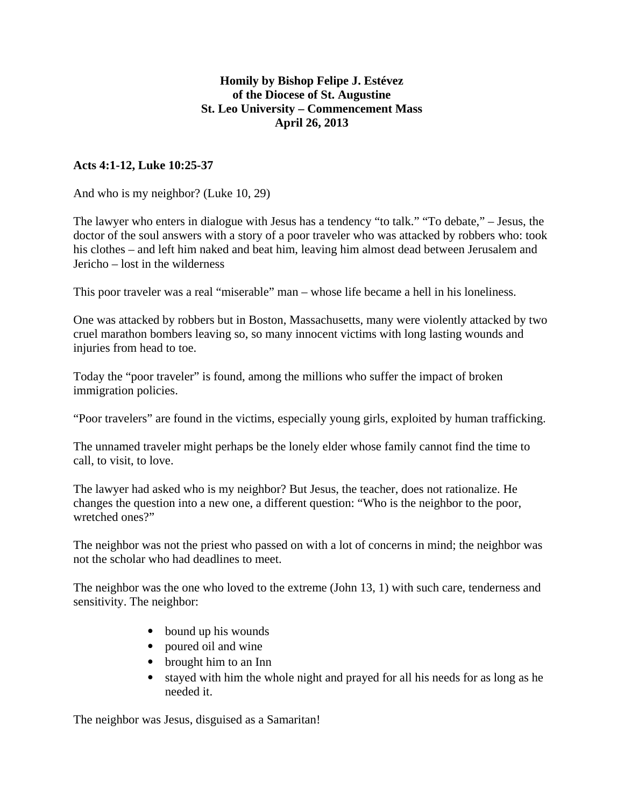## **Homily by Bishop Felipe J. Estévez of the Diocese of St. Augustine St. Leo University – Commencement Mass April 26, 2013**

## **Acts 4:1-12, Luke 10:25-37**

And who is my neighbor? (Luke 10, 29)

The lawyer who enters in dialogue with Jesus has a tendency "to talk." "To debate," – Jesus, the doctor of the soul answers with a story of a poor traveler who was attacked by robbers who: took his clothes – and left him naked and beat him, leaving him almost dead between Jerusalem and Jericho – lost in the wilderness

This poor traveler was a real "miserable" man – whose life became a hell in his loneliness.

One was attacked by robbers but in Boston, Massachusetts, many were violently attacked by two cruel marathon bombers leaving so, so many innocent victims with long lasting wounds and injuries from head to toe.

Today the "poor traveler" is found, among the millions who suffer the impact of broken immigration policies.

"Poor travelers" are found in the victims, especially young girls, exploited by human trafficking.

The unnamed traveler might perhaps be the lonely elder whose family cannot find the time to call, to visit, to love.

The lawyer had asked who is my neighbor? But Jesus, the teacher, does not rationalize. He changes the question into a new one, a different question: "Who is the neighbor to the poor, wretched ones?"

The neighbor was not the priest who passed on with a lot of concerns in mind; the neighbor was not the scholar who had deadlines to meet.

The neighbor was the one who loved to the extreme (John 13, 1) with such care, tenderness and sensitivity. The neighbor:

- bound up his wounds
- poured oil and wine
- brought him to an Inn
- stayed with him the whole night and prayed for all his needs for as long as he needed it.

The neighbor was Jesus, disguised as a Samaritan!